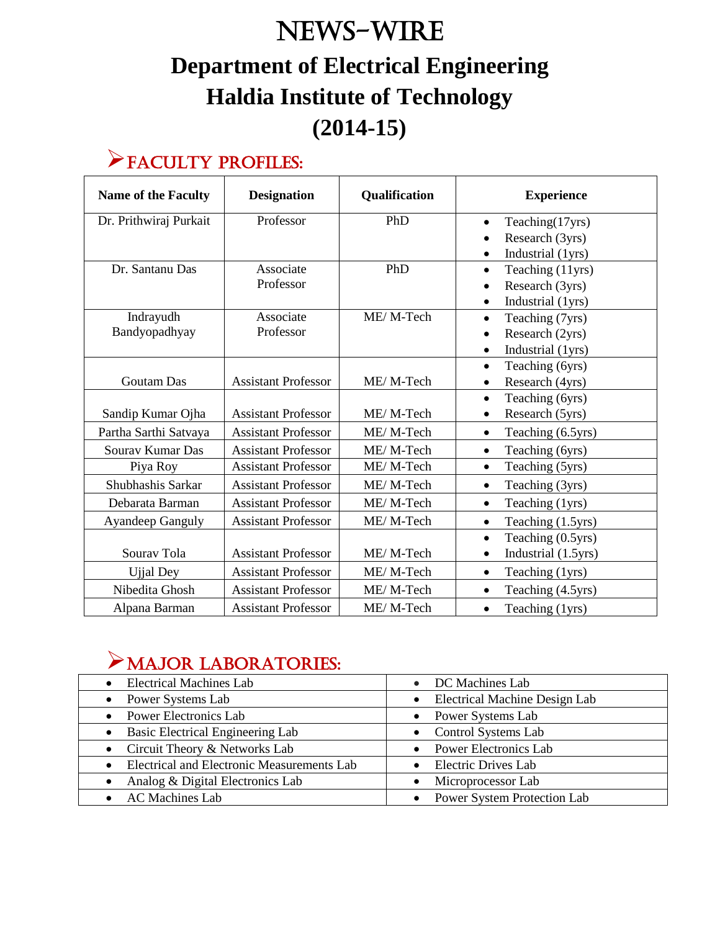# News-WIRE **Department of Electrical Engineering Haldia Institute of Technology (2014-15)**

### Faculty Profiles:

| <b>Name of the Faculty</b> | <b>Designation</b>         | Qualification | <b>Experience</b>                |  |
|----------------------------|----------------------------|---------------|----------------------------------|--|
| Dr. Prithwiraj Purkait     | Professor                  | PhD           | Teaching(17yrs)<br>$\bullet$     |  |
|                            |                            |               | Research (3yrs)<br>$\bullet$     |  |
|                            |                            |               | Industrial (1yrs)<br>$\bullet$   |  |
| Dr. Santanu Das            | Associate                  | PhD           | Teaching (11yrs)<br>$\bullet$    |  |
|                            | Professor                  |               | Research (3yrs)<br>$\bullet$     |  |
|                            |                            |               | Industrial (1yrs)<br>$\bullet$   |  |
| Indrayudh                  | Associate                  | ME/M-Tech     | Teaching (7yrs)<br>$\bullet$     |  |
| Bandyopadhyay              | Professor                  |               | Research (2yrs)<br>$\bullet$     |  |
|                            |                            |               | Industrial (1yrs)<br>$\bullet$   |  |
|                            |                            |               | Teaching (6yrs)<br>$\bullet$     |  |
| <b>Goutam Das</b>          | <b>Assistant Professor</b> | ME/M-Tech     | Research (4yrs)                  |  |
|                            |                            |               | Teaching (6yrs)<br>$\bullet$     |  |
| Sandip Kumar Ojha          | <b>Assistant Professor</b> | ME/M-Tech     | Research (5yrs)<br>$\bullet$     |  |
| Partha Sarthi Satvaya      | <b>Assistant Professor</b> | ME/M-Tech     | Teaching (6.5yrs)<br>$\bullet$   |  |
| Souray Kumar Das           | <b>Assistant Professor</b> | ME/M-Tech     | Teaching (6yrs)<br>$\bullet$     |  |
| Piya Roy                   | <b>Assistant Professor</b> | ME/M-Tech     | Teaching (5yrs)<br>$\bullet$     |  |
| Shubhashis Sarkar          | <b>Assistant Professor</b> | ME/M-Tech     | Teaching (3yrs)<br>$\bullet$     |  |
| Debarata Barman            | <b>Assistant Professor</b> | ME/M-Tech     | Teaching (1yrs)<br>$\bullet$     |  |
| <b>Ayandeep Ganguly</b>    | <b>Assistant Professor</b> | ME/M-Tech     | Teaching (1.5yrs)<br>$\bullet$   |  |
|                            |                            |               | Teaching (0.5yrs)<br>$\bullet$   |  |
| Sourav Tola                | <b>Assistant Professor</b> | ME/M-Tech     | Industrial (1.5yrs)<br>$\bullet$ |  |
| <b>Ujjal Dey</b>           | <b>Assistant Professor</b> | ME/M-Tech     | Teaching (1yrs)<br>$\bullet$     |  |
| Nibedita Ghosh             | <b>Assistant Professor</b> | ME/M-Tech     | Teaching (4.5yrs)<br>$\bullet$   |  |
| Alpana Barman              | <b>Assistant Professor</b> | ME/M-Tech     | Teaching (1yrs)<br>$\bullet$     |  |

### Major Laboratories:

| • Electrical Machines Lab                                      | DC Machines Lab<br>$\bullet$                      |
|----------------------------------------------------------------|---------------------------------------------------|
| • Power Systems Lab                                            | <b>Electrical Machine Design Lab</b><br>$\bullet$ |
| • Power Electronics Lab                                        | • Power Systems Lab                               |
| • Basic Electrical Engineering Lab                             | • Control Systems Lab                             |
| • Circuit Theory & Networks Lab                                | • Power Electronics Lab                           |
| <b>Electrical and Electronic Measurements Lab</b><br>$\bullet$ | • Electric Drives Lab                             |
| Analog & Digital Electronics Lab<br>$\bullet$                  | Microprocessor Lab                                |
| • AC Machines Lab                                              | Power System Protection Lab                       |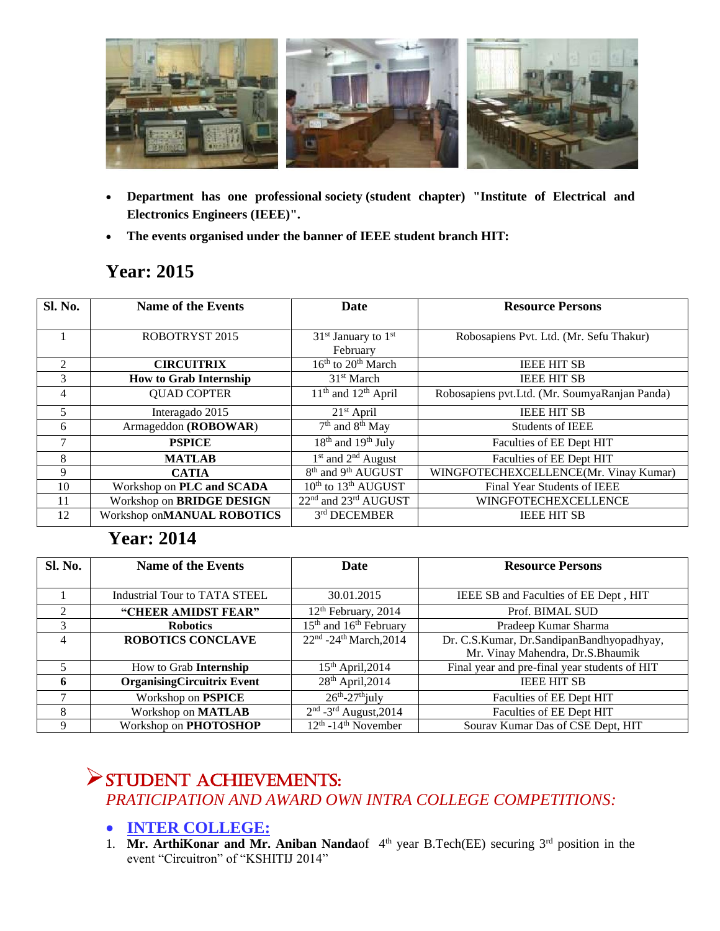

- **Department has one professional society (student chapter) "Institute of Electrical and Electronics Engineers (IEEE)".**
- **The events organised under the banner of IEEE student branch HIT:**

#### **Year: 2015**

| <b>Sl. No.</b> | <b>Name of the Events</b>        | <b>Date</b>                                  | <b>Resource Persons</b>                       |
|----------------|----------------------------------|----------------------------------------------|-----------------------------------------------|
|                |                                  |                                              |                                               |
|                | <b>ROBOTRYST 2015</b>            | $31st$ January to $1st$                      | Robosapiens Pvt. Ltd. (Mr. Sefu Thakur)       |
|                |                                  | February                                     |                                               |
| $\mathfrak{D}$ | <b>CIRCUITRIX</b>                | 16 <sup>th</sup> to 20 <sup>th</sup> March   | <b>IEEE HIT SB</b>                            |
| 3              | <b>How to Grab Internship</b>    | $31st$ March                                 | <b>IEEE HIT SB</b>                            |
| $\overline{4}$ | <b>QUAD COPTER</b>               | $\overline{11^{th}}$ and $12^{th}$ April     | Robosapiens pvt.Ltd. (Mr. SoumyaRanjan Panda) |
| 5              | Interagado 2015                  | $21st$ April                                 | <b>IEEE HIT SB</b>                            |
| 6              | Armageddon (ROBOWAR)             | 7 <sup>th</sup> and 8 <sup>th</sup> May      | <b>Students of IEEE</b>                       |
| 7              | <b>PSPICE</b>                    | $18th$ and $19th$ July                       | Faculties of EE Dept HIT                      |
| 8              | <b>MATLAB</b>                    | $1st$ and $2nd$ August                       | Faculties of EE Dept HIT                      |
| 9              | <b>CATIA</b>                     | $8th$ and 9 <sup>th</sup> AUGUST             | WINGFOTECHEXCELLENCE(Mr. Vinay Kumar)         |
| 10             | Workshop on PLC and SCADA        | 10 <sup>th</sup> to 13 <sup>th</sup> AUGUST  | Final Year Students of IEEE                   |
| 11             | Workshop on <b>BRIDGE DESIGN</b> | 22 <sup>nd</sup> and 23 <sup>rd</sup> AUGUST | WINGFOTECHEXCELLENCE                          |
| 12             | Workshop onMANUAL ROBOTICS       | 3rd DECEMBER                                 | <b>IEEE HIT SB</b>                            |

### **Year: 2014**

| Sl. No.        | <b>Name of the Events</b>            | Date                                           | <b>Resource Persons</b>                       |
|----------------|--------------------------------------|------------------------------------------------|-----------------------------------------------|
|                |                                      |                                                |                                               |
|                | <b>Industrial Tour to TATA STEEL</b> | 30.01.2015                                     | IEEE SB and Faculties of EE Dept, HIT         |
| $\mathfrak{D}$ | "CHEER AMIDST FEAR"                  | 12 <sup>th</sup> February, 2014                | Prof. BIMAL SUD                               |
| 3              | <b>Robotics</b>                      | 15 <sup>th</sup> and 16 <sup>th</sup> February | Pradeep Kumar Sharma                          |
| 4              | <b>ROBOTICS CONCLAVE</b>             | 22 <sup>nd</sup> -24 <sup>th</sup> March, 2014 | Dr. C.S.Kumar, Dr.SandipanBandhyopadhyay,     |
|                |                                      |                                                | Mr. Vinay Mahendra, Dr.S.Bhaumik              |
|                | How to Grab <b>Internship</b>        | $15th$ April, 2014                             | Final year and pre-final year students of HIT |
| -6             | <b>OrganisingCircuitrix Event</b>    | 28 <sup>th</sup> April, 2014                   | <b>IEEE HIT SB</b>                            |
| 7              | Workshop on <b>PSPICE</b>            | $26th-27th$ july                               | Faculties of EE Dept HIT                      |
| 8              | Workshop on MATLAB                   | $2nd$ -3 <sup>rd</sup> August, 2014            | Faculties of EE Dept HIT                      |
| 9              | Workshop on PHOTOSHOP                | $12th$ -14 <sup>th</sup> November              | Sourav Kumar Das of CSE Dept, HIT             |

### Student Achievements: *PRATICIPATION AND AWARD OWN INTRA COLLEGE COMPETITIONS:*

#### **INTER COLLEGE:**

1. **Mr. ArthiKonar and Mr. Aniban Nanda**of  $4<sup>th</sup>$  year B.Tech(EE) securing  $3<sup>rd</sup>$  position in the event "Circuitron" of "KSHITIJ 2014"